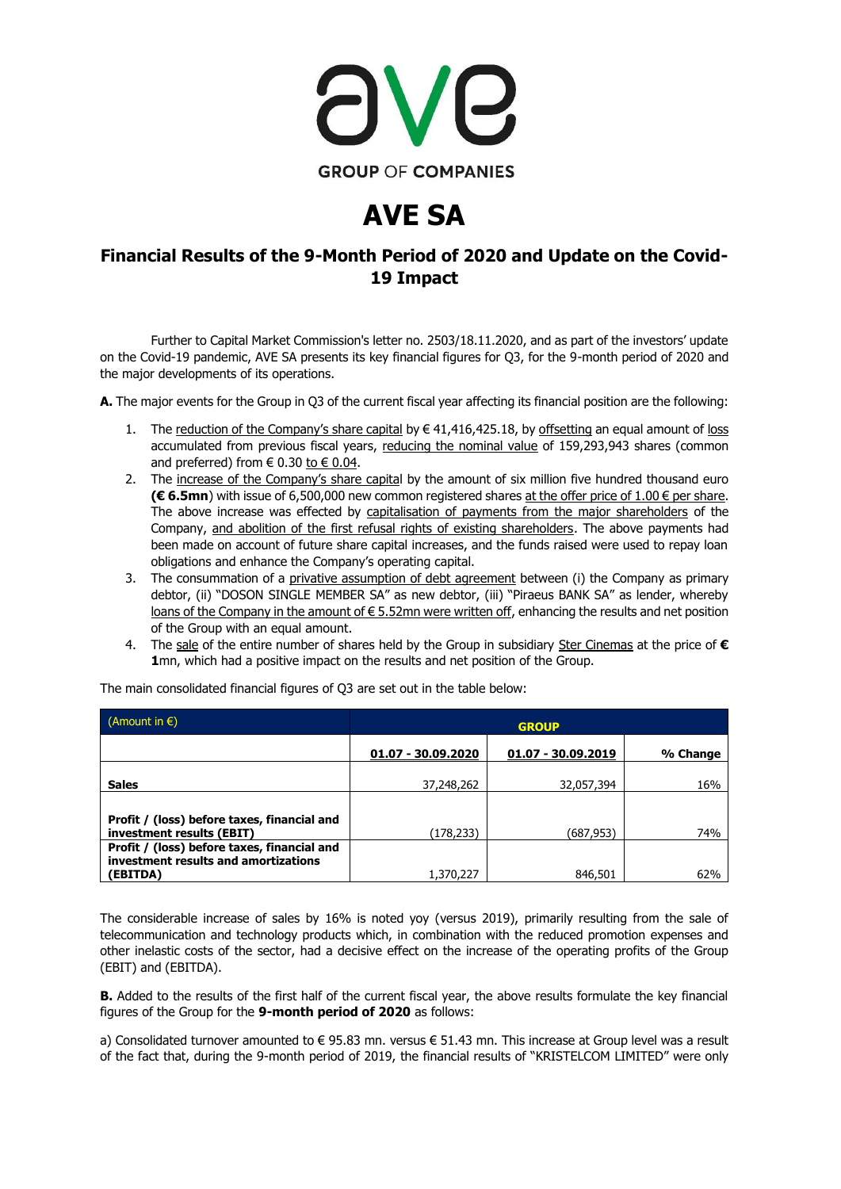

## **AVE SA**

## **Financial Results of the 9-Month Period of 2020 and Update on the Covid-19 Impact**

Further to Capital Market Commission's letter no. 2503/18.11.2020, and as part of the investors' update on the Covid-19 pandemic, AVE SA presents its key financial figures for Q3, for the 9-month period of 2020 and the major developments of its operations.

**Α.** The major events for the Group in Q3 of the current fiscal year affecting its financial position are the following:

- 1. The reduction of the Company's share capital by  $\in$  41,416,425.18, by offsetting an equal amount of loss accumulated from previous fiscal years, reducing the nominal value of 159,293,943 shares (common and preferred) from  $\in 0.30$  to  $\in 0.04$ .
- 2. The increase of the Company's share capital by the amount of six million five hundred thousand euro **(€ 6.5mn**) with issue of 6,500,000 new common registered shares at the offer price of 1.00 € per share. The above increase was effected by capitalisation of payments from the major shareholders of the Company, and abolition of the first refusal rights of existing shareholders. The above payments had been made on account of future share capital increases, and the funds raised were used to repay loan obligations and enhance the Company's operating capital.
- 3. The consummation of a privative assumption of debt agreement between (i) the Company as primary debtor, (ii) "DOSON SINGLE MEMBER SA" as new debtor, (iii) "Piraeus BANK SA" as lender, whereby loans of the Company in the amount of € 5.52mn were written off, enhancing the results and net position of the Group with an equal amount.
- 4. The sale of the entire number of shares held by the Group in subsidiary Ster Cinemas at the price of **€ 1**mn, which had a positive impact on the results and net position of the Group.

| (Amount in $\epsilon$ )                                                             | <b>GROUP</b>       |                    |          |
|-------------------------------------------------------------------------------------|--------------------|--------------------|----------|
|                                                                                     | 01.07 - 30.09.2020 | 01.07 - 30.09.2019 | % Change |
| <b>Sales</b>                                                                        | 37,248,262         | 32,057,394         | 16%      |
|                                                                                     |                    |                    |          |
| Profit / (loss) before taxes, financial and<br>investment results (EBIT)            | (178,233)          | (687,953)          | 74%      |
| Profit / (loss) before taxes, financial and<br>investment results and amortizations |                    |                    |          |
| (EBITDA)                                                                            | 1,370,227          | 846,501            | 62%      |

The main consolidated financial figures of Q3 are set out in the table below:

The considerable increase of sales by 16% is noted yoy (versus 2019), primarily resulting from the sale of telecommunication and technology products which, in combination with the reduced promotion expenses and other inelastic costs of the sector, had a decisive effect on the increase of the operating profits of the Group (EBIT) and (EBITDA).

**B.** Added to the results of the first half of the current fiscal year, the above results formulate the key financial figures of the Group for the **9-month period of 2020** as follows:

a) Consolidated turnover amounted to € 95.83 mn. versus € 51.43 mn. This increase at Group level was a result of the fact that, during the 9-month period of 2019, the financial results of "KRISTELCOM LIMITED" were only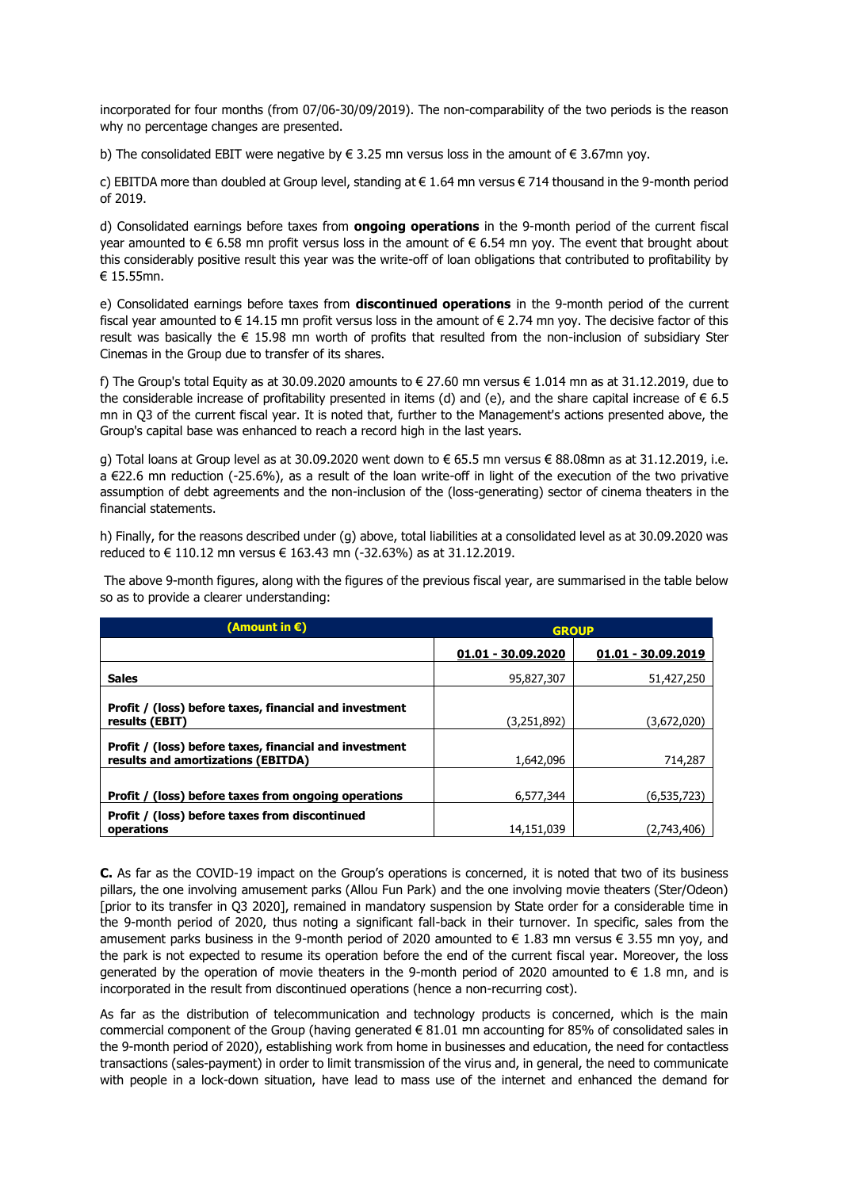incorporated for four months (from 07/06-30/09/2019). The non-comparability of the two periods is the reason why no percentage changes are presented.

b) The consolidated EBIT were negative by  $\epsilon$  3.25 mn versus loss in the amount of  $\epsilon$  3.67mn yoy.

c) EBITDA more than doubled at Group level, standing at € 1.64 mn versus € 714 thousand in the 9-month period of 2019.

d) Consolidated earnings before taxes from **ongoing operations** in the 9-month period of the current fiscal year amounted to € 6.58 mn profit versus loss in the amount of € 6.54 mn yoy. The event that brought about this considerably positive result this year was the write-off of loan obligations that contributed to profitability by € 15.55mn.

e) Consolidated earnings before taxes from **discontinued operations** in the 9-month period of the current fiscal year amounted to € 14.15 mn profit versus loss in the amount of € 2.74 mn yoy. The decisive factor of this result was basically the  $\epsilon$  15.98 mn worth of profits that resulted from the non-inclusion of subsidiary Ster Cinemas in the Group due to transfer of its shares.

f) The Group's total Equity as at 30.09.2020 amounts to  $\epsilon$  27.60 mn versus  $\epsilon$  1.014 mn as at 31.12.2019, due to the considerable increase of profitability presented in items (d) and (e), and the share capital increase of  $\epsilon$  6.5 mn in Q3 of the current fiscal year. It is noted that, further to the Management's actions presented above, the Group's capital base was enhanced to reach a record high in the last years.

g) Total loans at Group level as at 30.09.2020 went down to € 65.5 mn versus € 88.08mn as at 31.12.2019, i.e. a €22.6 mn reduction (-25.6%), as a result of the loan write-off in light of the execution of the two privative assumption of debt agreements and the non-inclusion of the (loss-generating) sector of cinema theaters in the financial statements.

h) Finally, for the reasons described under (g) above, total liabilities at a consolidated level as at 30.09.2020 was reduced to € 110.12 mn versus € 163.43 mn (-32.63%) as at 31.12.2019.

The above 9-month figures, along with the figures of the previous fiscal year, are summarised in the table below so as to provide a clearer understanding:

| (Amount in €)                                                                                | <b>GROUP</b>       |                    |
|----------------------------------------------------------------------------------------------|--------------------|--------------------|
|                                                                                              | 01.01 - 30.09.2020 | 01.01 - 30.09.2019 |
| <b>Sales</b>                                                                                 | 95,827,307         | 51,427,250         |
| Profit / (loss) before taxes, financial and investment<br>results (EBIT)                     | (3,251,892)        | (3,672,020)        |
| Profit / (loss) before taxes, financial and investment<br>results and amortizations (EBITDA) | 1.642.096          | 714,287            |
| Profit / (loss) before taxes from ongoing operations                                         | 6,577,344          | (6,535,723)        |
| Profit / (loss) before taxes from discontinued<br>operations                                 | 14,151,039         | (2.743.406         |

**C.** As far as the COVID-19 impact on the Group's operations is concerned, it is noted that two of its business pillars, the one involving amusement parks (Allou Fun Park) and the one involving movie theaters (Ster/Odeon) [prior to its transfer in Q3 2020], remained in mandatory suspension by State order for a considerable time in the 9-month period of 2020, thus noting a significant fall-back in their turnover. In specific, sales from the amusement parks business in the 9-month period of 2020 amounted to  $\epsilon$  1.83 mn versus  $\epsilon$  3.55 mn vov, and the park is not expected to resume its operation before the end of the current fiscal year. Moreover, the loss generated by the operation of movie theaters in the 9-month period of 2020 amounted to  $\in$  1.8 mn, and is incorporated in the result from discontinued operations (hence a non-recurring cost).

As far as the distribution of telecommunication and technology products is concerned, which is the main commercial component of the Group (having generated  $\epsilon$  81.01 mn accounting for 85% of consolidated sales in the 9-month period of 2020), establishing work from home in businesses and education, the need for contactless transactions (sales-payment) in order to limit transmission of the virus and, in general, the need to communicate with people in a lock-down situation, have lead to mass use of the internet and enhanced the demand for